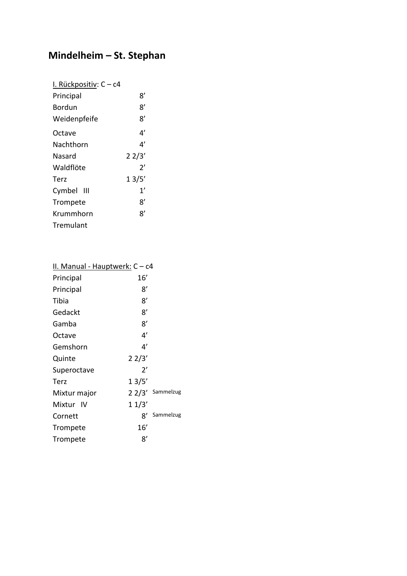## **Mindelheim – St. Stephan**

| I. Rückpositiv: C - c4 |       |
|------------------------|-------|
| Principal              | 8'    |
| Bordun                 | 8'    |
| Weidenpfeife           | 8'    |
| Octave                 | 4'    |
| Nachthorn              | 4'    |
| Nasard                 | 22/3' |
| Waldflöte              | 2'    |
| Terz                   | 13/5′ |
| Cymbel III             | 1'    |
| Trompete               | ጸ'    |
| Krummhorn              | ጸ'    |
| Tremulant              |       |

| II. Manual - Hauptwerk: C - c4 |              |                  |
|--------------------------------|--------------|------------------|
| Principal                      | 16′          |                  |
| Principal                      | 8'           |                  |
| Tibia                          | 8'           |                  |
| Gedackt                        | 8'           |                  |
| Gamba                          | 8'           |                  |
| Octave                         | 4'           |                  |
| Gemshorn                       | 4′           |                  |
| Quinte                         | 22/3'        |                  |
| Superoctave                    | $2^{\prime}$ |                  |
| Terz                           | 13/5'        |                  |
| Mixtur major                   |              | 2 2/3' Sammelzug |
| Mixtur IV                      | 11/3'        |                  |
| Cornett                        | x'           | Sammelzug        |
| Trompete                       | 16′          |                  |
| Trompete                       | 8'           |                  |